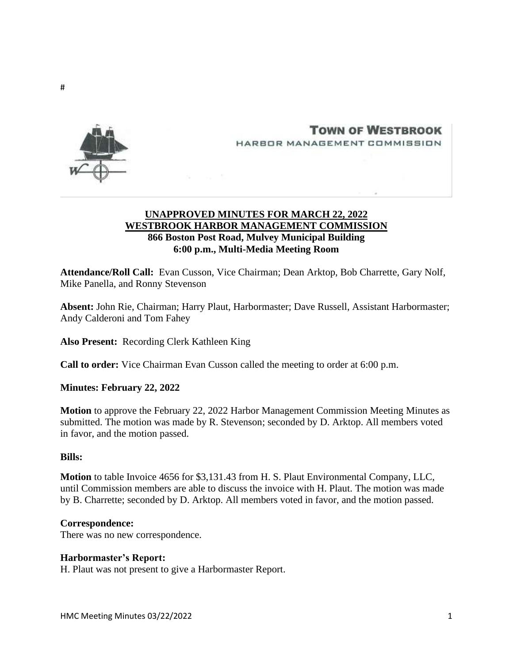

**TOWN OF WESTBROOK** HARBOR MANAGEMENT COMMISSION



# **UNAPPROVED MINUTES FOR MARCH 22, 2022 WESTBROOK HARBOR MANAGEMENT COMMISSION 866 Boston Post Road, Mulvey Municipal Building 6:00 p.m., Multi-Media Meeting Room**

**Attendance/Roll Call:** Evan Cusson, Vice Chairman; Dean Arktop, Bob Charrette, Gary Nolf, Mike Panella, and Ronny Stevenson

**Absent:** John Rie, Chairman; Harry Plaut, Harbormaster; Dave Russell, Assistant Harbormaster; Andy Calderoni and Tom Fahey

**Also Present:** Recording Clerk Kathleen King

**Call to order:** Vice Chairman Evan Cusson called the meeting to order at 6:00 p.m.

**Minutes: February 22, 2022**

**Motion** to approve the February 22, 2022 Harbor Management Commission Meeting Minutes as submitted. The motion was made by R. Stevenson; seconded by D. Arktop. All members voted in favor, and the motion passed.

### **Bills:**

**Motion** to table Invoice 4656 for \$3,131.43 from H. S. Plaut Environmental Company, LLC, until Commission members are able to discuss the invoice with H. Plaut. The motion was made by B. Charrette; seconded by D. Arktop. All members voted in favor, and the motion passed.

### **Correspondence:**

There was no new correspondence.

### **Harbormaster's Report:**

H. Plaut was not present to give a Harbormaster Report.